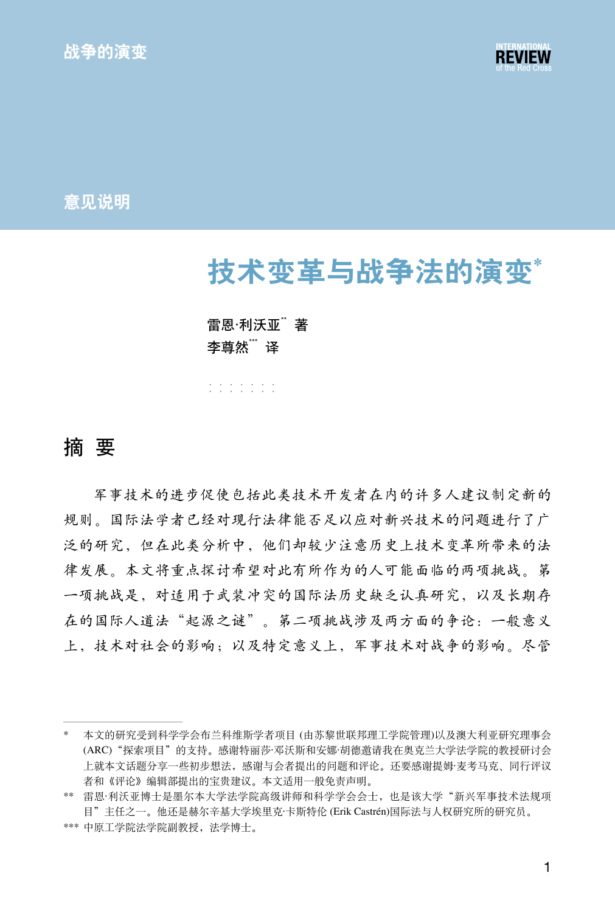

意见说明

# 技术变革与战争法的演变\*

#### 雷恩·利沃亚  $\,\,$  著 李尊然" 译

······· ·······

## 摘 要

军事技术的进步促使包括此类技术开发者在内的许多人建议制定新的 规则。国际法学者已经对现行法律能否足以应对新兴技术的问题进行了广 泛的研究,但在此类分析中,他们却较少注意历史上技术变革所带来的法 律发展。本文将重点探讨希望对此有所作为的人可能面临的两项挑战。第 一项挑战是,对适用于武装冲突的国际法历史缺乏认真研究,以及长期存 在的国际人道法"起源之谜"。第二项挑战涉及两方面的争论:一般意义 上,技术对社会的影响;以及特定意义上,军事技术对战争的影响。尽管

<sup>\*</sup> 本文的研究受到科学学会布兰科维斯学者项目 (由苏黎世联邦理工学院管理)以及澳大利亚研究理事会 (ARC)"探索项目"的支持。感谢特丽莎·邓沃斯和安娜·胡德邀请我在奥克兰大学法学院的教授研讨会 上就本文话题分享一些初步想法,感谢与会者提出的问题和评论。还要感谢提姆·麦考马克、同行评议 者和《评论》编辑部提出的宝贵建议。本文适用一般免责声明。

<sup>\*\*</sup> 雷恩·利沃亚博士是墨尔本大学法学院高级讲师和科学学会会士, 也是该大学"新兴军事技术法规项 目"主任之一。他还是赫尔辛基大学埃里克·卡斯特伦 (Erik Castrén)国际法与人权研究所的研究员。

<sup>\*\*\*</sup> 中原工学院法学院副教授,法学博士。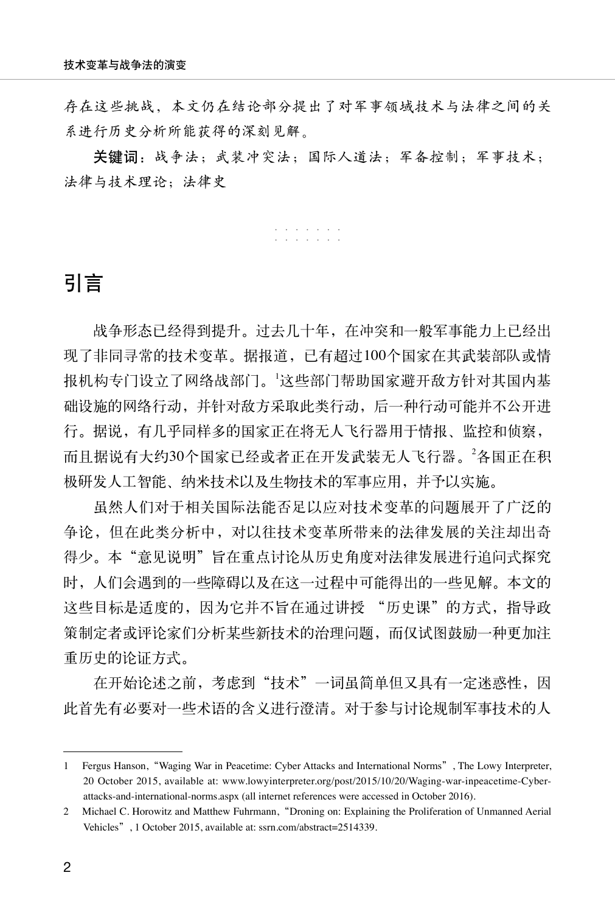存在这些挑战,本文仍在结论部分提出了对军事领域技术与法律之间的关 系进行历史分析所能获得的深刻见解。

关键词:战争法;武装冲突法;国际人道法;军备控制;军事技术; 法律与技术理论;法律史

······· ·······

# 引言

战争形态已经得到提升。过去几十年,在冲突和一般军事能力上已经出 现了非同寻常的技术变革。据报道,已有超过100个国家在其武装部队或情 报机构专门设立了网络战部门。<sup>1</sup> 这些部门帮助国家避开敌方针对其国内基 础设施的网络行动,并针对敌方采取此类行动,后一种行动可能并不公开进 行。据说,有几乎同样多的国家正在将无人飞行器用于情报、监控和侦察, 而且据说有大约30个国家已经或者正在开发武装无人飞行器。<sup>2</sup>各国正在积 极研发人工智能、纳米技术以及生物技术的军事应用,并予以实施。

虽然人们对于相关国际法能否足以应对技术变革的问题展开了广泛的 争论,但在此类分析中,对以往技术变革所带来的法律发展的关注却出奇 得少。本"意见说明"旨在重点讨论从历史角度对法律发展进行追问式探究 时,人们会遇到的一些障碍以及在这一过程中可能得出的一些见解。本文的 这些目标是适度的,因为它并不旨在通过讲授 "历史课"的方式,指导政 策制定者或评论家们分析某些新技术的治理问题,而仅试图鼓励一种更加注 重历史的论证方式。

在开始论述之前,考虑到"技术"一词虽简单但又具有一定迷惑性,因 此首先有必要对一些术语的含义进行澄清。对于参与讨论规制军事技术的人

<sup>1</sup> Fergus Hanson,"Waging War in Peacetime: Cyber Attacks and International Norms", The Lowy Interpreter, 20 October 2015, available at: www.lowyinterpreter.org/post/2015/10/20/Waging-war-inpeacetime-Cyberattacks-and-international-norms.aspx (all internet references were accessed in October 2016).

<sup>2</sup> Michael C. Horowitz and Matthew Fuhrmann,"Droning on: Explaining the Proliferation of Unmanned Aerial Vehicles", 1 October 2015, available at: ssrn.com/abstract=2514339.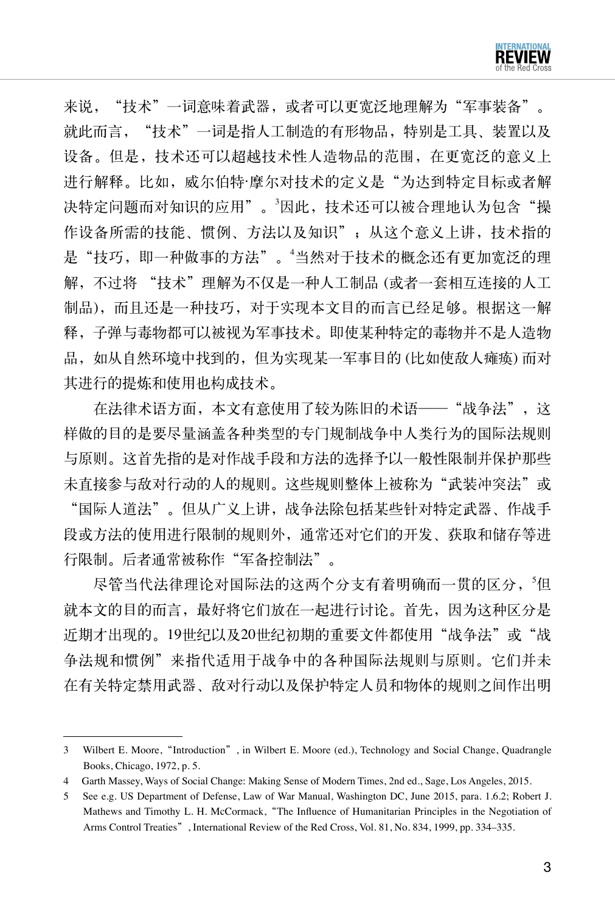来说, "技术"一词意味着武器, 或者可以更宽泛地理解为"军事装备"。 就此而言, "技术"一词是指人工制造的有形物品, 特别是工具、装置以及 设备。但是,技术还可以超越技术性人造物品的范围,在更宽泛的意义上 进行解释。比如,威尔伯特·摩尔对技术的定义是"为达到特定目标或者解 决特定问题而对知识的应用"。<sup>3</sup>因此,技术还可以被合理地认为包含"操 作设备所需的技能、惯例、方法以及知识";从这个意义上讲,技术指的 是"技巧, 即一种做事的方法"。"当然对于技术的概念还有更加宽泛的理 解,不过将 "技术"理解为不仅是一种人工制品 (或者一套相互连接的人工 制品),而且还是一种技巧,对于实现本文目的而言已经足够。根据这一解 释,子弹与毒物都可以被视为军事技术。即使某种特定的毒物并不是人造物 品,如从自然环境中找到的,但为实现某一军事目的 (比如使敌人瘫痪) 而对 其进行的提炼和使用也构成技术。

在法律术语方面,本文有意使用了较为陈旧的术语——"战争法",这 样做的目的是要尽量涵盖各种类型的专门规制战争中人类行为的国际法规则 与原则。这首先指的是对作战手段和方法的选择予以一般性限制并保护那些 未直接参与敌对行动的人的规则。这些规则整体上被称为"武装冲突法"或 "国际人道法"。但从广义上讲,战争法除包括某些针对特定武器、作战手 段或方法的使用进行限制的规则外,通常还对它们的开发、获取和储存等进 行限制。后者通常被称作"军备控制法"。

尽管当代法律理论对国际法的这两个分支有着明确而一贯的区分, 5但 就本文的目的而言,最好将它们放在一起进行讨论。首先,因为这种区分是 近期才出现的。19世纪以及20世纪初期的重要文件都使用"战争法"或"战 争法规和惯例"来指代适用于战争中的各种国际法规则与原则。它们并未 在有关特定禁用武器、敌对行动以及保护特定人员和物体的规则之间作出明

<sup>3</sup> Wilbert E. Moore,"Introduction", in Wilbert E. Moore (ed.), Technology and Social Change, Quadrangle Books, Chicago, 1972, p. 5.

<sup>4</sup> Garth Massey, Ways of Social Change: Making Sense of Modern Times, 2nd ed., Sage, Los Angeles, 2015.

<sup>5</sup> See e.g. US Department of Defense, Law of War Manual, Washington DC, June 2015, para. 1.6.2; Robert J. Mathews and Timothy L. H. McCormack,"The Influence of Humanitarian Principles in the Negotiation of Arms Control Treaties", International Review of the Red Cross, Vol. 81, No. 834, 1999, pp. 334–335.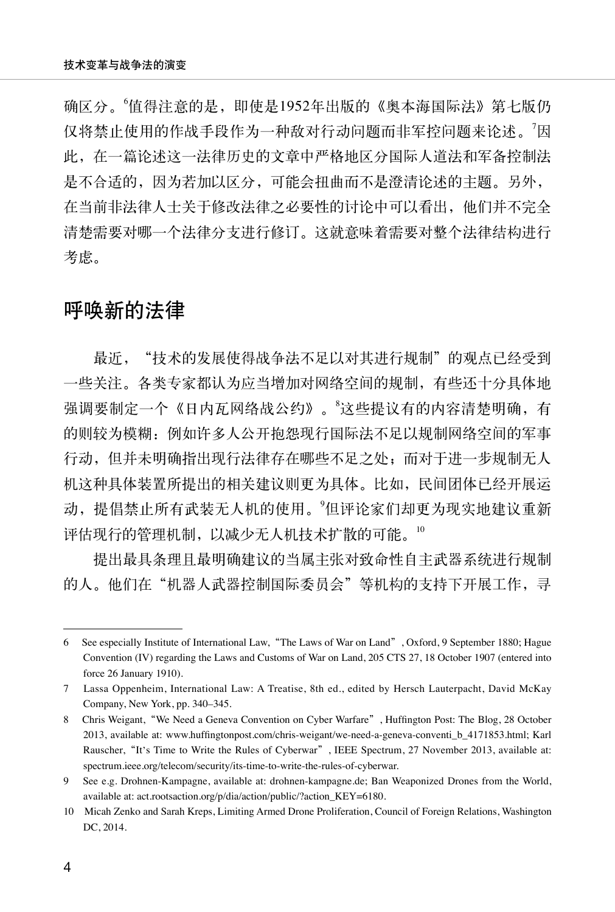确区分。"值得注意的是,即使是1952年出版的《奥本海国际法》第七版仍 仅将禁止使用的作战手段作为一种敌对行动问题而非军控问题来论述。'因 此,在一篇论述这一法律历史的文章中严格地区分国际人道法和军备控制法 是不合适的,因为若加以区分,可能会扭曲而不是澄清论述的主题。另外, 在当前非法律人士关于修改法律之必要性的讨论中可以看出,他们并不完全 清楚需要对哪一个法律分支进行修订。这就意味着需要对整个法律结构进行 考虑。

## 呼唤新的法律

最近, "技术的发展使得战争法不足以对其进行规制"的观点已经受到 一些关注。各类专家都认为应当增加对网络空间的规制,有些还十分具体地 强调要制定一个《日内瓦网络战公约》。"这些提议有的内容清楚明确, 有 的则较为模糊:例如许多人公开抱怨现行国际法不足以规制网络空间的军事 行动,但并未明确指出现行法律存在哪些不足之处;而对于进一步规制无人 机这种具体装置所提出的相关建议则更为具体。比如,民间团体已经开展运 动, 提倡禁止所有武装无人机的使用。 但评论家们却更为现实地建议重新 评估现行的管理机制,以减少无人机技术扩散的可能。<sup>10</sup>

提出最具条理且最明确建议的当属主张对致命性自主武器系统进行规制 的人。他们在"机器人武器控制国际委员会"等机构的支持下开展工作,寻

<sup>6</sup> See especially Institute of International Law,"The Laws of War on Land", Oxford, 9 September 1880; Hague Convention (IV) regarding the Laws and Customs of War on Land, 205 CTS 27, 18 October 1907 (entered into force 26 January 1910).

<sup>7</sup> Lassa Oppenheim, International Law: A Treatise, 8th ed., edited by Hersch Lauterpacht, David McKay Company, New York, pp. 340–345.

<sup>8</sup> Chris Weigant, "We Need a Geneva Convention on Cyber Warfare", Huffington Post: The Blog, 28 October 2013, available at: www.huffingtonpost.com/chris-weigant/we-need-a-geneva-conventi\_b\_4171853.html; Karl Rauscher, "It's Time to Write the Rules of Cyberwar", IEEE Spectrum, 27 November 2013, available at: spectrum.ieee.org/telecom/security/its-time-to-write-the-rules-of-cyberwar.

<sup>9</sup> See e.g. Drohnen-Kampagne, available at: drohnen-kampagne.de; Ban Weaponized Drones from the World, available at: act.rootsaction.org/p/dia/action/public/?action\_KEY=6180.

<sup>10</sup> Micah Zenko and Sarah Kreps, Limiting Armed Drone Proliferation, Council of Foreign Relations, Washington DC, 2014.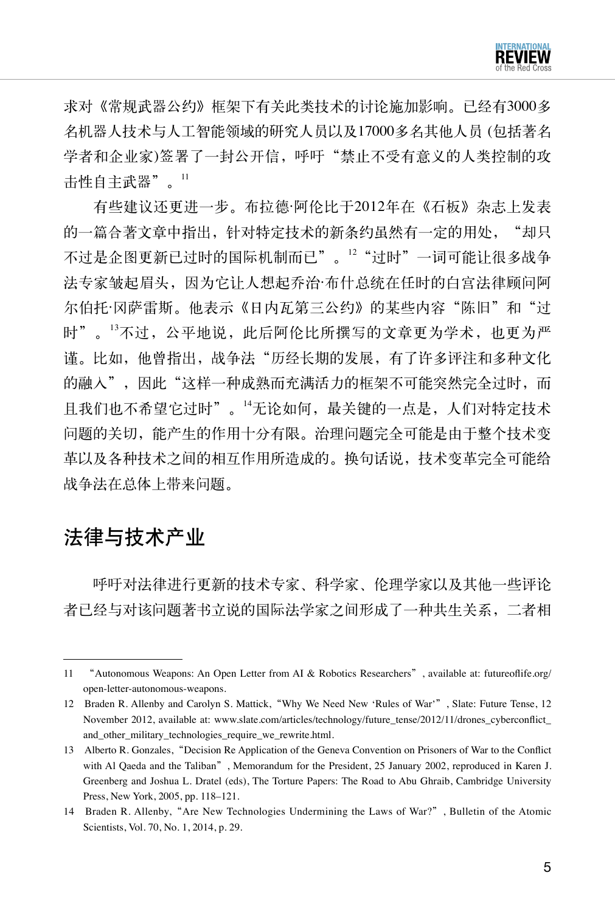

求对《常规武器公约》框架下有关此类技术的讨论施加影响。已经有3000多 名机器人技术与人工智能领域的研究人员以及17000多名其他人员 (包括著名 学者和企业家)签署了一封公开信,呼吁"禁止不受有意义的人类控制的攻 击性自主武器"。<sup>11</sup>

有些建议还更进一步。布拉德·阿伦比于2012年在《石板》杂志上发表 的一篇合著文章中指出,针对特定技术的新条约虽然有一定的用处, "却只 不过是企图更新已过时的国际机制而已"。12 "过时"一词可能让很多战争 法专家皱起眉头,因为它让人想起乔治·布什总统在任时的白宫法律顾问阿 尔伯托·冈萨雷斯。他表示《日内瓦第三公约》的某些内容"陈旧"和"过 时"。"不过,公平地说,此后阿伦比所撰写的文章更为学术,也更为严 谨。比如,他曾指出,战争法"历经长期的发展,有了许多评注和多种文化 的融入",因此"这样一种成熟而充满活力的框架不可能突然完全过时,而 且我们也不希望它过时"。<sup>14</sup>无论如何,最关键的一点是,人们对特定技术 问题的关切,能产生的作用十分有限。治理问题完全可能是由于整个技术变 革以及各种技术之间的相互作用所造成的。换句话说,技术变革完全可能给 战争法在总体上带来问题。

# 法律与技术产业

呼吁对法律进行更新的技术专家、科学家、伦理学家以及其他一些评论 者已经与对该问题著书立说的国际法学家之间形成了一种共生关系,二者相

<sup>11</sup> "Autonomous Weapons: An Open Letter from AI & Robotics Researchers", available at: futureoflife.org/ open-letter-autonomous-weapons.

<sup>12</sup> Braden R. Allenby and Carolyn S. Mattick,"Why We Need New 'Rules of War'", Slate: Future Tense, 12 November 2012, available at: www.slate.com/articles/technology/future\_tense/2012/11/drones\_cyberconflict\_ and other military technologies require we rewrite.html.

<sup>13</sup> Alberto R. Gonzales,"Decision Re Application of the Geneva Convention on Prisoners of War to the Conflict with Al Qaeda and the Taliban", Memorandum for the President, 25 January 2002, reproduced in Karen J. Greenberg and Joshua L. Dratel (eds), The Torture Papers: The Road to Abu Ghraib, Cambridge University Press, New York, 2005, pp. 118–121.

<sup>14</sup> Braden R. Allenby, "Are New Technologies Undermining the Laws of War?", Bulletin of the Atomic Scientists, Vol. 70, No. 1, 2014, p. 29.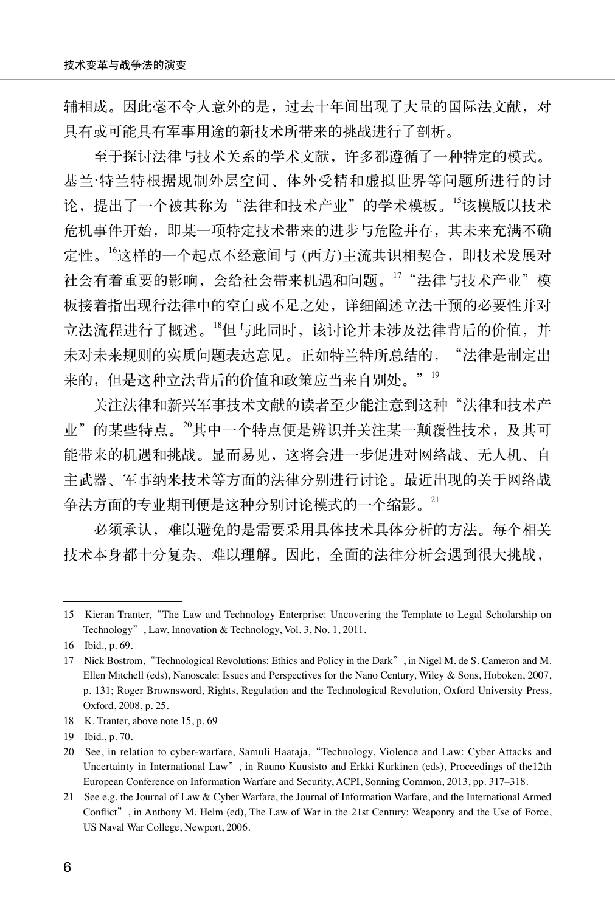辅相成。因此毫不令人意外的是,过去十年间出现了大量的国际法文献,对 具有或可能具有军事用途的新技术所带来的挑战进行了剖析。

至于探讨法律与技术关系的学术文献,许多都遵循了一种特定的模式。 基兰·特兰特根据规制外层空间、体外受精和虚拟世界等问题所进行的讨 论,提出了一个被其称为"法律和技术产业"的学术模板。15该模版以技术 危机事件开始,即某一项特定技术带来的进步与危险并存,其未来充满不确 定性。<sup>16</sup>这样的一个起点不经意间与 (西方)主流共识相契合,即技术发展对 社会有着重要的影响,会给社会带来机遇和问题。17 "法律与技术产业"模 板接着指出现行法律中的空白或不足之处,详细阐述立法干预的必要性并对 立法流程进行了概述。<sup>18</sup>但与此同时,该讨论并未涉及法律背后的价值,并 未对未来规则的实质问题表达意见。正如特兰特所总结的, "法律是制定出 来的,但是这种立法背后的价值和政策应当来自别处。"<sup>19</sup>

关注法律和新兴军事技术文献的读者至少能注意到这种"法律和技术产 业"的某些特点。20其中一个特点便是辨识并关注某一颠覆性技术,及其可 能带来的机遇和挑战。显而易见,这将会进一步促进对网络战、无人机、自 主武器、军事纳米技术等方面的法律分别进行讨论。最近出现的关于网络战 争法方面的专业期刊便是这种分别讨论模式的一个缩影。<sup>21</sup>

必须承认,难以避免的是需要采用具体技术具体分析的方法。每个相关 技术本身都十分复杂、难以理解。因此,全面的法律分析会遇到很大挑战,

<sup>15</sup> Kieran Tranter,"The Law and Technology Enterprise: Uncovering the Template to Legal Scholarship on Technology", Law, Innovation & Technology, Vol. 3, No. 1, 2011.

<sup>16</sup> Ibid., p. 69.

<sup>17</sup> Nick Bostrom,"Technological Revolutions: Ethics and Policy in the Dark", in Nigel M. de S. Cameron and M. Ellen Mitchell (eds), Nanoscale: Issues and Perspectives for the Nano Century, Wiley & Sons, Hoboken, 2007, p. 131; Roger Brownsword, Rights, Regulation and the Technological Revolution, Oxford University Press, Oxford, 2008, p. 25.

<sup>18</sup> K. Tranter, above note 15, p. 69

<sup>19</sup> Ibid., p. 70.

<sup>20</sup> See, in relation to cyber-warfare, Samuli Haataja,"Technology, Violence and Law: Cyber Attacks and Uncertainty in International Law", in Rauno Kuusisto and Erkki Kurkinen (eds), Proceedings of the12th European Conference on Information Warfare and Security, ACPI, Sonning Common, 2013, pp. 317–318.

<sup>21</sup> See e.g. the Journal of Law & Cyber Warfare, the Journal of Information Warfare, and the International Armed Conflict", in Anthony M. Helm (ed), The Law of War in the 21st Century: Weaponry and the Use of Force, US Naval War College, Newport, 2006.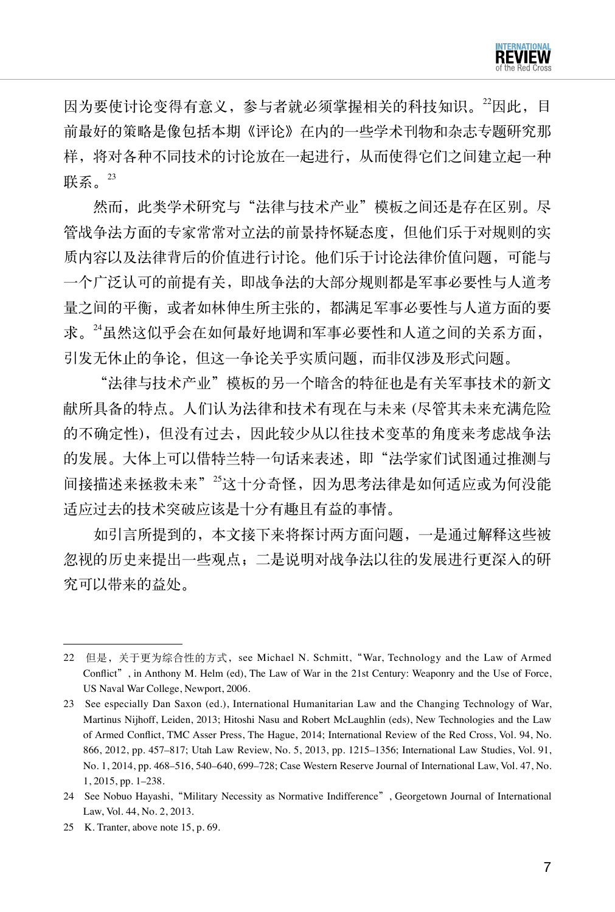因为要使讨论变得有意义,参与者就必须掌握相关的科技知识。22因此,目 前最好的策略是像包括本期《评论》在内的一些学术刊物和杂志专题研究那 样,将对各种不同技术的讨论放在一起进行,从而使得它们之间建立起一种 联系。 $23$ 

然而, 此类学术研究与"法律与技术产业"模板之间还是存在区别。尽 管战争法方面的专家常常对立法的前景持怀疑态度,但他们乐于对规则的实 质内容以及法律背后的价值进行讨论。他们乐于讨论法律价值问题,可能与 一个广泛认可的前提有关,即战争法的大部分规则都是军事必要性与人道考 量之间的平衡,或者如林伸生所主张的,都满足军事必要性与人道方面的要 求。<sup>24</sup>虽然这似乎会在如何最好地调和军事必要性和人道之间的关系方面, 引发无休止的争论,但这一争论关乎实质问题,而非仅涉及形式问题。

"法律与技术产业"模板的另一个暗含的特征也是有关军事技术的新文 献所具备的特点。人们认为法律和技术有现在与未来 (尽管其未来充满危险 的不确定性),但没有过去,因此较少从以往技术变革的角度来考虑战争法 的发展。大体上可以借特兰特一句话来表述,即"法学家们试图通过推测与 间接描述来拯救未来"<sup>25</sup>这十分奇怪,因为思考法律是如何适应或为何没能 适应过去的技术突破应该是十分有趣且有益的事情。

如引言所提到的,本文接下来将探讨两方面问题,一是通过解释这些被 忽视的历史来提出一些观点;二是说明对战争法以往的发展进行更深入的研 究可以带来的益处。

<sup>22</sup> 但是,关于更为综合性的方式, see Michael N. Schmitt, "War, Technology and the Law of Armed Conflict", in Anthony M. Helm (ed), The Law of War in the 21st Century: Weaponry and the Use of Force, US Naval War College, Newport, 2006.

<sup>23</sup> See especially Dan Saxon (ed.), International Humanitarian Law and the Changing Technology of War, Martinus Nijhoff, Leiden, 2013; Hitoshi Nasu and Robert McLaughlin (eds), New Technologies and the Law of Armed Conflict, TMC Asser Press, The Hague, 2014; International Review of the Red Cross, Vol. 94, No. 866, 2012, pp. 457–817; Utah Law Review, No. 5, 2013, pp. 1215–1356; International Law Studies, Vol. 91, No. 1, 2014, pp. 468–516, 540–640, 699–728; Case Western Reserve Journal of International Law, Vol. 47, No. 1, 2015, pp. 1–238.

<sup>24</sup> See Nobuo Hayashi,"Military Necessity as Normative Indifference", Georgetown Journal of International Law, Vol. 44, No. 2, 2013.

<sup>25</sup> K. Tranter, above note 15, p. 69.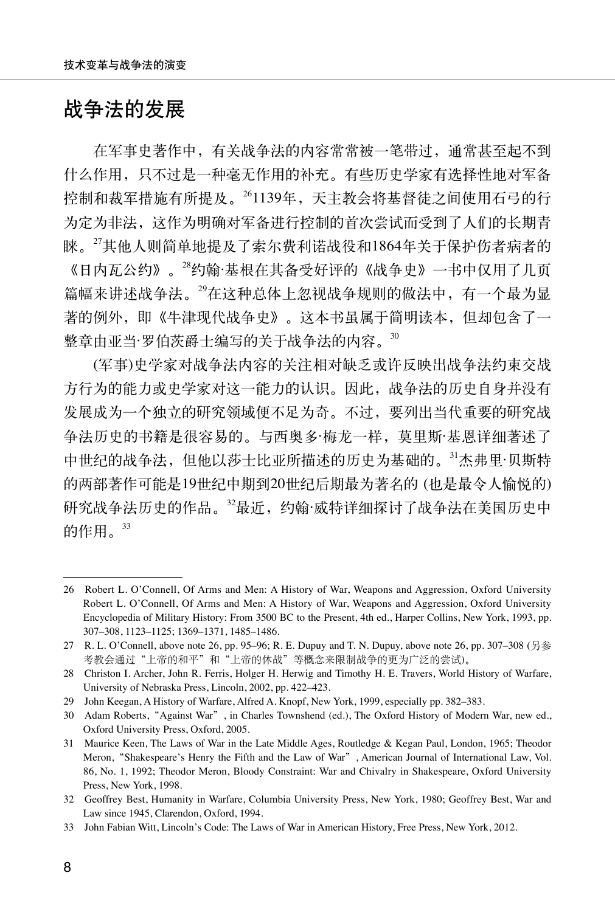## 战争法的发展

在军事史著作中,有关战争法的内容常常被一笔带过,通常甚至起不到 什么作用,只不过是一种毫无作用的补充。有些历史学家有选择性地对军备 控制和裁军措施有所提及。261139年,天主教会将基督徒之间使用石弓的行 为定为非法,这作为明确对军备进行控制的首次尝试而受到了人们的长期青 睐。<sup>27</sup>其他人则简单地提及了索尔费利诺战役和1864年关于保护伤者病者的 《日内瓦公约》。<sup>28</sup>约翰·基根在其备受好评的《战争史》一书中仅用了几页 篇幅来讲述战争法。<sup>29</sup>在这种总体上忽视战争规则的做法中,有一个最为显 著的例外,即《牛津现代战争史》。这本书虽属于简明读本,但却包含了一 整章由亚当·罗伯茨爵士编写的关于战争法的内容。<sup>30</sup>

(军事)史学家对战争法内容的关注相对缺乏或许反映出战争法约束交战 方行为的能力或史学家对这一能力的认识。因此,战争法的历史自身并没有 发展成为一个独立的研究领域便不足为奇。不过,要列出当代重要的研究战 争法历史的书籍是很容易的。与西奥多·梅龙一样,莫里斯·基恩详细著述了 中世纪的战争法,但他以莎士比亚所描述的历史为基础的。<sup>31</sup>杰弗里·贝斯特 的两部著作可能是19世纪中期到20世纪后期最为著名的 (也是最令人愉悦的) 研究战争法历史的作品。<sup>32</sup>最近,约翰·威特详细探讨了战争法在美国历史中 的作用。<sup>33</sup>

<sup>26</sup> Robert L. O'Connell, Of Arms and Men: A History of War, Weapons and Aggression, Oxford University Robert L. O'Connell, Of Arms and Men: A History of War, Weapons and Aggression, Oxford University Encyclopedia of Military History: From 3500 BC to the Present, 4th ed., Harper Collins, New York, 1993, pp. 307–308, 1123–1125; 1369–1371, 1485–1486.

<sup>27</sup> R. L. O'Connell, above note 26, pp. 95–96; R. E. Dupuy and T. N. Dupuy, above note 26, pp. 307–308 (另参 考教会通过"上帝的和平"和"上帝的休战"等概念来限制战争的更为广泛的尝试)。

<sup>28</sup> Christon I. Archer, John R. Ferris, Holger H. Herwig and Timothy H. E. Travers, World History of Warfare, University of Nebraska Press, Lincoln, 2002, pp. 422–423.

<sup>29</sup> John Keegan, A History of Warfare, Alfred A. Knopf, New York, 1999, especially pp. 382–383.

<sup>30</sup> Adam Roberts,"Against War", in Charles Townshend (ed.), The Oxford History of Modern War, new ed., Oxford University Press, Oxford, 2005.

<sup>31</sup> Maurice Keen, The Laws of War in the Late Middle Ages, Routledge & Kegan Paul, London, 1965; Theodor Meron,"Shakespeare's Henry the Fifth and the Law of War", American Journal of International Law, Vol. 86, No. 1, 1992; Theodor Meron, Bloody Constraint: War and Chivalry in Shakespeare, Oxford University Press, New York, 1998.

<sup>32</sup> Geoffrey Best, Humanity in Warfare, Columbia University Press, New York, 1980; Geoffrey Best, War and Law since 1945, Clarendon, Oxford, 1994.

<sup>33</sup> John Fabian Witt, Lincoln's Code: The Laws of War in American History, Free Press, New York, 2012.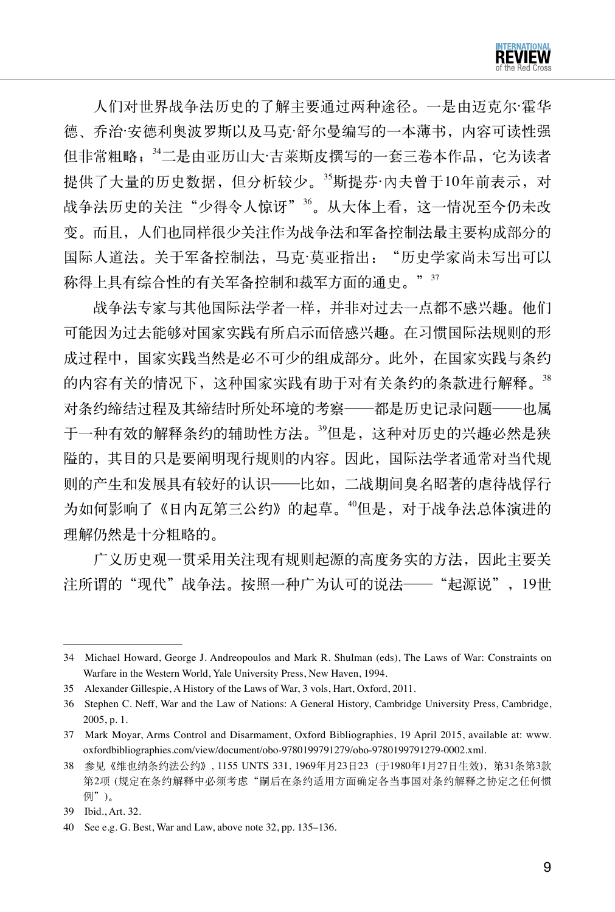

人们对世界战争法历史的了解主要通过两种途径。一是由迈克尔·霍华 德、乔治·安德利奥波罗斯以及马克·舒尔曼编写的一本薄书,内容可读性强 但非常粗略;<sup>34</sup>二是由亚历山大·吉莱斯皮撰写的一套三卷本作品, 它为读者 提供了大量的历史数据,但分析较少。<sup>35</sup>斯提芬·内夫曾干10年前表示,对 战争法历史的关注"少得令人惊讶"36。从大体上看,这一情况至今仍未改 变。而且,人们也同样很少关注作为战争法和军备控制法最主要构成部分的 国际人道法。关于军备控制法,马克·莫亚指出:"历史学家尚未写出可以 称得上具有综合性的有关军备控制和裁军方面的通史。"37

战争法专家与其他国际法学者一样,并非对过去一点都不感兴趣。他们 可能因为过去能够对国家实践有所启示而倍感兴趣。在习惯国际法规则的形 成过程中,国家实践当然是必不可少的组成部分。此外,在国家实践与条约 的内容有关的情况下,这种国家实践有助于对有关条约的条款进行解释。<sup>38</sup> 对条约缔结过程及其缔结时所处环境的考察——都是历史记录问题——也属 于一种有效的解释条约的辅助性方法。<sup>39</sup>但是,这种对历史的兴趣必然是狭 隘的,其目的只是要阐明现行规则的内容。因此,国际法学者通常对当代规 则的产生和发展具有较好的认识——比如,二战期间臭名昭著的虐待战俘行 为如何影响了《日内瓦第三公约》的起草。"但是,对于战争法总体演进的 理解仍然是十分粗略的。

广义历史观一贯采用关注现有规则起源的高度务实的方法,因此主要关 注所谓的"现代"战争法。按照一种广为认可的说法——"起源说",19世

<sup>34</sup> Michael Howard, George J. Andreopoulos and Mark R. Shulman (eds), The Laws of War: Constraints on Warfare in the Western World, Yale University Press, New Haven, 1994.

<sup>35</sup> Alexander Gillespie, A History of the Laws of War, 3 vols, Hart, Oxford, 2011.

<sup>36</sup> Stephen C. Neff, War and the Law of Nations: A General History, Cambridge University Press, Cambridge, 2005, p. 1.

<sup>37</sup> Mark Moyar, Arms Control and Disarmament, Oxford Bibliographies, 19 April 2015, available at: www. oxfordbibliographies.com/view/document/obo-9780199791279/obo-9780199791279-0002.xml.

<sup>38</sup> 参见《维也纳条约法公约》, 1155 UNTS 331, 1969年月23日23 (于1980年1月27日生效),第31条第3款 第2项 (规定在条约解释中必须考虑"嗣后在条约适用方面确定各当事国对条约解释之协定之任何惯 例")。

<sup>39</sup> Ibid., Art. 32.

<sup>40</sup> See e.g. G. Best, War and Law, above note 32, pp. 135–136.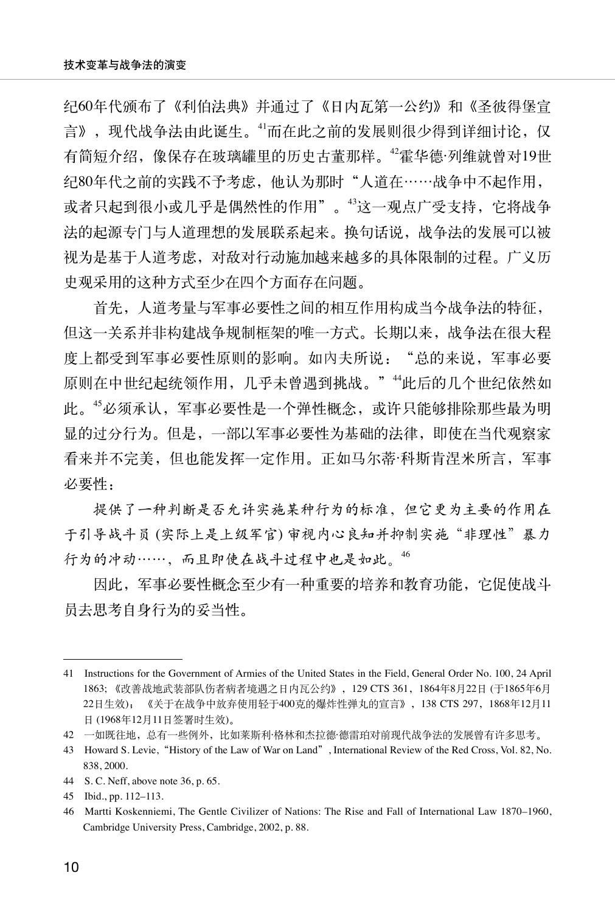纪60年代颁布了《利伯法典》并通过了《日内瓦第一公约》和《圣彼得堡宣 言》,现代战争法由此诞生。<sup>41</sup>而在此之前的发展则很少得到详细讨论,仅 有简短介绍,像保存在玻璃罐里的历史古董那样。<sup>42</sup>霍华德·列维就曾对19世 纪80年代之前的实践不予考虑,他认为那时"人道在……战争中不起作用, 或者只起到很小或几乎是偶然性的作用"。<sup>43</sup>这一观点广受支持, 它将战争 法的起源专门与人道理想的发展联系起来。换句话说,战争法的发展可以被 视为是基于人道考虑,对敌对行动施加越来越多的具体限制的过程。广义历 史观采用的这种方式至少在四个方面存在问题。

首先,人道考量与军事必要性之间的相互作用构成当今战争法的特征, 但这一关系并非构建战争规制框架的唯一方式。长期以来,战争法在很大程 度上都受到军事必要性原则的影响。如内夫所说: "总的来说,军事必要 原则在中世纪起统领作用,几乎未曾遇到挑战。""此后的几个世纪依然如 此。<sup>45</sup>必须承认,军事必要性是一个弹性概念,或许只能够排除那些最为明 显的过分行为。但是,一部以军事必要性为基础的法律,即使在当代观察家 看来并不完美,但也能发挥一定作用。正如马尔蒂·科斯肯涅米所言,军事 必要性:

提供了一种判断是否允许实施某种行为的标准,但它更为主要的作用在 于引导战斗员 (实际上是上级军官) 审视内心良知并抑制实施"非理性"暴力 行为的冲动……,而且即使在战斗过程中也是如此。<sup>46</sup>

因此,军事必要性概念至少有一种重要的培养和教育功能,它促使战斗 员去思考自身行为的妥当性。

<sup>41</sup> Instructions for the Government of Armies of the United States in the Field, General Order No. 100, 24 April 1863; 《改善战地武装部队伤者病者境遇之日内瓦公约》,129 CTS 361,1864年8月22日 (于1865年6月 22日生效); 《关于在战争中放弃使用轻于400克的爆炸性弹丸的宣言》,138 CTS 297,1868年12月11 日 (1968年12月11日签署时生效)。

<sup>42</sup> 一如既往地,总有一些例外,比如莱斯利·格林和杰拉德·德雷珀对前现代战争法的发展曾有许多思考。

<sup>43</sup> Howard S. Levie,"History of the Law of War on Land", International Review of the Red Cross, Vol. 82, No. 838, 2000.

<sup>44</sup> S. C. Neff, above note 36, p. 65.

<sup>45</sup> Ibid., pp. 112–113.

<sup>46</sup> Martti Koskenniemi, The Gentle Civilizer of Nations: The Rise and Fall of International Law 1870–1960, Cambridge University Press, Cambridge, 2002, p. 88.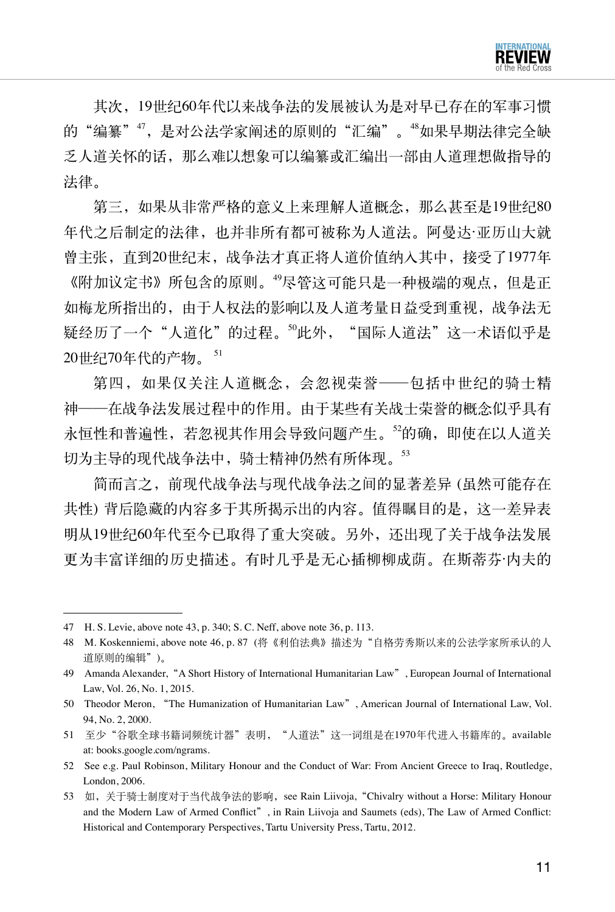其次,19世纪60年代以来战争法的发展被认为是对早已存在的军事习惯 的"编纂"",是对公法学家阐述的原则的"汇编"。"如果早期法律完全缺 乏人道关怀的话,那么难以想象可以编纂或汇编出一部由人道理想做指导的 法律。

第三,如果从非常严格的意义上来理解人道概念,那么甚至是19世纪80 年代之后制定的法律,也并非所有都可被称为人道法。阿曼达·亚历山大就 曾主张,直到20世纪末,战争法才真正将人道价值纳入其中,接受了1977年 《附加议定书》所包含的原则。<sup>49</sup>尽管这可能只是一种极端的观点,但是正 如梅龙所指出的,由于人权法的影响以及人道考量日益受到重视,战争法无 疑经历了一个"人道化"的过程。<sup>50</sup>此外, "国际人道法"这一术语似乎是 20世纪70年代的产物。 <sup>51</sup>

第四,如果仅关注人道概念,会忽视荣誉——包括中世纪的骑士精 神——在战争法发展过程中的作用。由于某些有关战士荣誉的概念似乎具有 永恒性和普遍性,若忽视其作用会导致问题产生。<sup>52</sup>的确,即使在以人道关 切为主导的现代战争法中,骑士精神仍然有所体现。53

简而言之,前现代战争法与现代战争法之间的显著差异 (虽然可能存在 共性) 背后隐藏的内容多于其所揭示出的内容。值得瞩目的是,这一差异表 明从19世纪60年代至今已取得了重大突破。另外,还出现了关于战争法发展 更为丰富详细的历史描述。有时几乎是无心插柳柳成荫。在斯蒂芬·内夫的

<sup>47</sup> H. S. Levie, above note 43, p. 340; S. C. Neff, above note 36, p. 113.

<sup>48</sup> M. Koskenniemi, above note 46, p. 87 (将《利伯法典》描述为"自格劳秀斯以来的公法学家所承认的人 道原则的编辑")。

<sup>49</sup> Amanda Alexander,"A Short History of International Humanitarian Law", European Journal of International Law, Vol. 26, No. 1, 2015.

<sup>50</sup> Theodor Meron, "The Humanization of Humanitarian Law", American Journal of International Law, Vol. 94, No. 2, 2000.

<sup>51</sup> 至少"谷歌全球书籍词频统计器"表明, "人道法"这一词组是在1970年代进入书籍库的。available at: books.google.com/ngrams.

<sup>52</sup> See e.g. Paul Robinson, Military Honour and the Conduct of War: From Ancient Greece to Iraq, Routledge, London, 2006.

<sup>53</sup> 如,关于骑士制度对于当代战争法的影响, see Rain Liivoja, "Chivalry without a Horse: Military Honour and the Modern Law of Armed Conflict", in Rain Liivoja and Saumets (eds), The Law of Armed Conflict: Historical and Contemporary Perspectives, Tartu University Press, Tartu, 2012.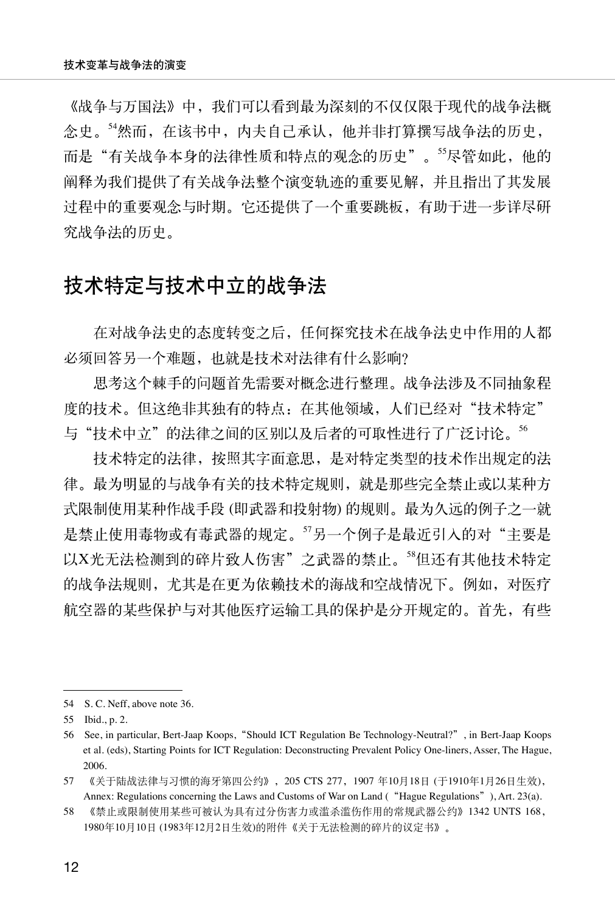《战争与万国法》中,我们可以看到最为深刻的不仅仅限于现代的战争法概 念史。<sup>54</sup>然而,在该书中,内夫自己承认,他并非打算撰写战争法的历史, 而是"有关战争本身的法律性质和特点的观念的历史"。55尽管如此,他的 阐释为我们提供了有关战争法整个演变轨迹的重要见解,并且指出了其发展 过程中的重要观念与时期。它还提供了一个重要跳板,有助于进一步详尽研 究战争法的历史。

# 技术特定与技术中立的战争法

在对战争法史的态度转变之后,任何探究技术在战争法史中作用的人都 必须回答另一个难题,也就是技术对法律有什么影响?

思考这个棘手的问题首先需要对概念进行整理。战争法涉及不同抽象程 度的技术。但这绝非其独有的特点: 在其他领域, 人们已经对"技术特定" 与"技术中立"的法律之间的区别以及后者的可取性进行了广泛讨论。56

技术特定的法律,按照其字面意思,是对特定类型的技术作出规定的法 律。最为明显的与战争有关的技术特定规则,就是那些完全禁止或以某种方 式限制使用某种作战手段 (即武器和投射物) 的规则。最为久远的例子之一就 是禁止使用毒物或有毒武器的规定。57另一个例子是最近引入的对"主要是 以X光无法检测到的碎片致人伤害"之武器的禁止。<sup>58</sup>但还有其他技术特定 的战争法规则,尤其是在更为依赖技术的海战和空战情况下。例如,对医疗 航空器的某些保护与对其他医疗运输工具的保护是分开规定的。首先,有些

<sup>54</sup> S.C. Neff, above note 36.

<sup>55</sup> Ibid., p. 2.

<sup>56</sup> See, in particular, Bert-Jaap Koops,"Should ICT Regulation Be Technology-Neutral?", in Bert-Jaap Koops et al. (eds), Starting Points for ICT Regulation: Deconstructing Prevalent Policy One-liners, Asser, The Hague, 2006.

<sup>57</sup> 《关于陆战法律与习惯的海牙第四公约》,205 CTS 277,1907 年10月18日 (于1910年1月26日生效), Annex: Regulations concerning the Laws and Customs of War on Land ("Hague Regulations"), Art. 23(a).

<sup>58</sup> 《禁止或限制使用某些可被认为具有过分伤害力或滥杀滥伤作用的常规武器公约》1342 UNTS 168, 1980年10月10日 (1983年12月2日生效)的附件《关于无法检测的碎片的议定书》。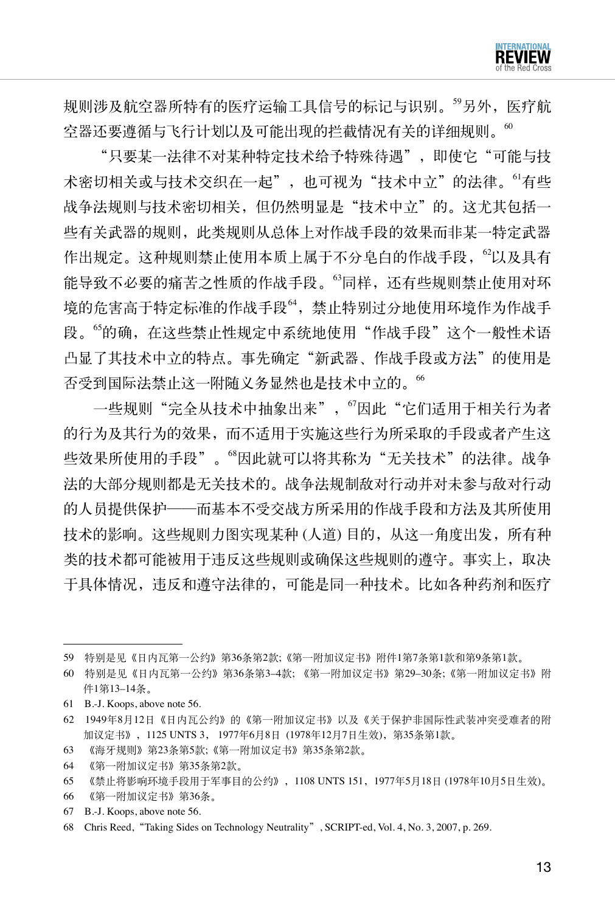规则涉及航空器所特有的医疗运输工具信号的标记与识别。59另外, 医疗航 空器还要遵循与飞行计划以及可能出现的拦截情况有关的详细规则。

"只要某一法律不对某种特定技术给予特殊待遇",即使它"可能与技 术密切相关或与技术交织在一起", 也可视为"技术中立"的法律。<sup>61</sup>有些 战争法规则与技术密切相关,但仍然明显是"技术中立"的。这尤其包括一 些有关武器的规则,此类规则从总体上对作战手段的效果而非某一特定武器 作出规定。这种规则禁止使用本质上属于不分皂白的作战手段,<sup>62</sup>以及具有 能导致不必要的痛苦之性质的作战手段。"同样,还有些规则禁止使用对环 境的危害高于特定标准的作战手段"4,禁止特别过分地使用环境作为作战手 段。<sup>65</sup>的确,在这些禁止性规定中系统地使用"作战手段"这个一般性术语 凸显了其技术中立的特点。事先确定"新武器、作战手段或方法"的使用是 否受到国际法禁止这一附随义务显然也是技术中立的。<sup>66</sup>

一些规则"完全从技术中抽象出来", "因此"它们适用于相关行为者 的行为及其行为的效果,而不适用于实施这些行为所采取的手段或者产生这 些效果所使用的手段"。"因此就可以将其称为"无关技术"的法律。战争 法的大部分规则都是无关技术的。战争法规制敌对行动并对未参与敌对行动 的人员提供保护——而基本不受交战方所采用的作战手段和方法及其所使用 技术的影响。这些规则力图实现某种 (人道) 目的,从这一角度出发,所有种 类的技术都可能被用于违反这些规则或确保这些规则的遵守。事实上,取决 于具体情况,违反和遵守法律的,可能是同一种技术。比如各种药剂和医疗

- 63 《海牙规则》第23条第5款;《第一附加议定书》第35条第2款。
- 64 《第一附加议定书》第35条第2款。

67 B.-J. Koops, above note 56.

<sup>59</sup> 特别是见《日内瓦第一公约》第36条第2款;《第一附加议定书》附件1第7条第1款和第9条第1款。

<sup>60</sup> 特别是见《日内瓦第一公约》第36条第3–4款; 《第一附加议定书》第29–30条;《第一附加议定书》附 件1第13–14条。

<sup>61</sup> B.-J. Koops, above note 56.

<sup>62</sup> 1949年8月12日《日内瓦公约》的《第一附加议定书》以及《关于保护非国际性武装冲突受难者的附 加议定书》,1125 UNTS 3, 1977年6月8日 (1978年12月7日生效),第35条第1款。

<sup>65</sup> 《禁止将影响环境手段用于军事目的公约》,1108 UNTS 151,1977年5月18日 (1978年10月5日生效)。

<sup>66</sup> 《第一附加议定书》第36条。

<sup>68</sup> Chris Reed,"Taking Sides on Technology Neutrality", SCRIPT-ed, Vol. 4, No. 3, 2007, p. 269.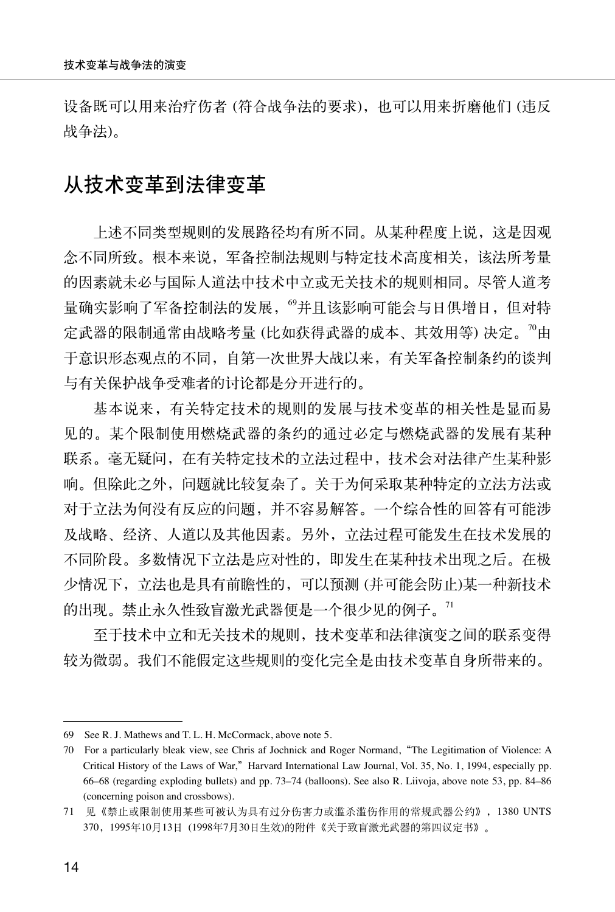设备既可以用来治疗伤者 (符合战争法的要求), 也可以用来折磨他们 (违反 战争法)。

## 从技术变革到法律变革

上述不同类型规则的发展路径均有所不同。从某种程度上说,这是因观 念不同所致。根本来说,军备控制法规则与特定技术高度相关,该法所考量 的因素就未必与国际人道法中技术中立或无关技术的规则相同。尽管人道考 量确实影响了军备控制法的发展, "并且该影响可能会与日俱增日, 但对特 定武器的限制通常由战略考量 (比如获得武器的成本、其效用等) 决定。"9由 于意识形态观点的不同,自第一次世界大战以来,有关军备控制条约的谈判 与有关保护战争受难者的讨论都是分开进行的。

基本说来,有关特定技术的规则的发展与技术变革的相关性是显而易 见的。某个限制使用燃烧武器的条约的通过必定与燃烧武器的发展有某种 联系。毫无疑问,在有关特定技术的立法过程中,技术会对法律产生某种影 响。但除此之外,问题就比较复杂了。关于为何采取某种特定的立法方法或 对于立法为何没有反应的问题,并不容易解答。一个综合性的回答有可能涉 及战略、经济、人道以及其他因素。另外,立法过程可能发生在技术发展的 不同阶段。多数情况下立法是应对性的,即发生在某种技术出现之后。在极 少情况下,立法也是具有前瞻性的,可以预测 (并可能会防止)某一种新技术 的出现。禁止永久性致盲激光武器便是一个很少见的例子。<sup>71</sup>

至于技术中立和无关技术的规则,技术变革和法律演变之间的联系变得 较为微弱。我们不能假定这些规则的变化完全是由技术变革自身所带来的。

<sup>69</sup> See R. J. Mathews and T. L. H. McCormack, above note 5.

<sup>70</sup> For a particularly bleak view, see Chris af Jochnick and Roger Normand,"The Legitimation of Violence: A Critical History of the Laws of War,"Harvard International Law Journal, Vol. 35, No. 1, 1994, especially pp. 66–68 (regarding exploding bullets) and pp. 73–74 (balloons). See also R. Liivoja, above note 53, pp. 84–86 (concerning poison and crossbows).

<sup>71</sup> 见《禁止或限制使用某些可被认为具有过分伤害力或滥杀滥伤作用的常规武器公约》,1380 UNTS 370,1995年10月13日 (1998年7月30日生效)的附件《关于致盲激光武器的第四议定书》。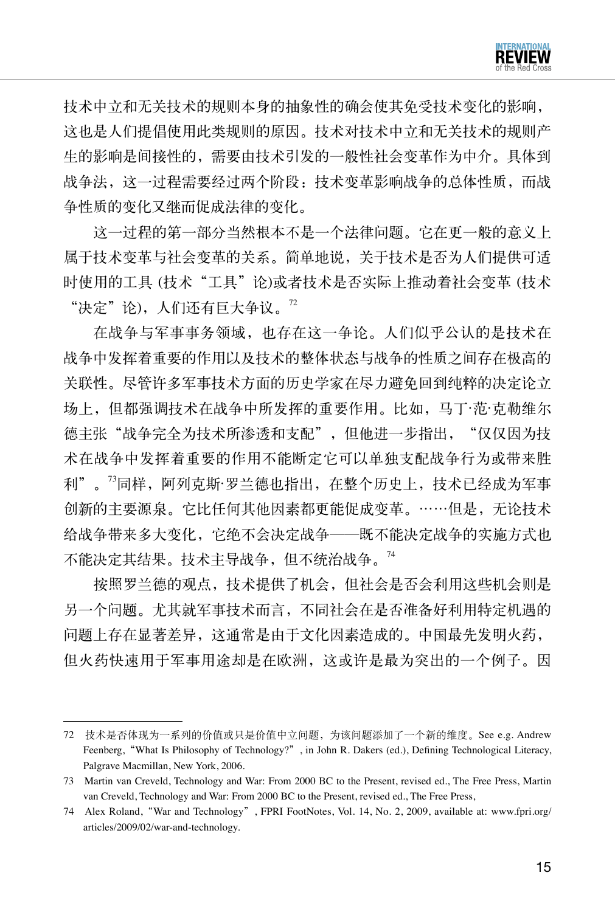技术中立和无关技术的规则本身的抽象性的确会使其免受技术变化的影响, 这也是人们提倡使用此类规则的原因。技术对技术中立和无关技术的规则产 生的影响是间接性的,需要由技术引发的一般性社会变革作为中介。具体到 战争法,这一过程需要经过两个阶段:技术变革影响战争的总体性质,而战 争性质的变化又继而促成法律的变化。

这一过程的第一部分当然根本不是一个法律问题。它在更一般的意义上 属于技术变革与社会变革的关系。简单地说,关于技术是否为人们提供可适 时使用的工具(技术"工具"论)或者技术是否实际上推动着社会变革(技术 "决定"论),人们还有巨大争议。<sup>72</sup>

在战争与军事事务领域,也存在这一争论。人们似乎公认的是技术在 战争中发挥着重要的作用以及技术的整体状态与战争的性质之间存在极高的 关联性。尽管许多军事技术方面的历史学家在尽力避免回到纯粹的决定论立 场上,但都强调技术在战争中所发挥的重要作用。比如,马丁·范·克勒维尔 德主张"战争完全为技术所渗透和支配",但他进一步指出,"仅仅因为技 术在战争中发挥着重要的作用不能断定它可以单独支配战争行为或带来胜 利"。<sup>73</sup>同样,阿列克斯·罗兰德也指出,在整个历史上,技术已经成为军事 创新的主要源泉。它比任何其他因素都更能促成变革。……但是,无论技术 给战争带来多大变化,它绝不会决定战争——既不能决定战争的实施方式也 不能决定其结果。技术主导战争,但不统治战争。<sup>74</sup>

按照罗兰德的观点,技术提供了机会,但社会是否会利用这些机会则是 另一个问题。尤其就军事技术而言,不同社会在是否准备好利用特定机遇的 问题上存在显著差异,这通常是由于文化因素造成的。中国最先发明火药, 但火药快速用于军事用途却是在欧洲,这或许是最为突出的一个例子。因

<sup>72</sup> 技术是否体现为一系列的价值或只是价值中立问题,为该问题添加了一个新的维度。See e.g. Andrew Feenberg, "What Is Philosophy of Technology?", in John R. Dakers (ed.), Defining Technological Literacy, Palgrave Macmillan, New York, 2006.

<sup>73</sup> Martin van Creveld, Technology and War: From 2000 BC to the Present, revised ed., The Free Press, Martin van Creveld, Technology and War: From 2000 BC to the Present, revised ed., The Free Press,

<sup>74</sup> Alex Roland,"War and Technology", FPRI FootNotes, Vol. 14, No. 2, 2009, available at: www.fpri.org/ articles/2009/02/war-and-technology.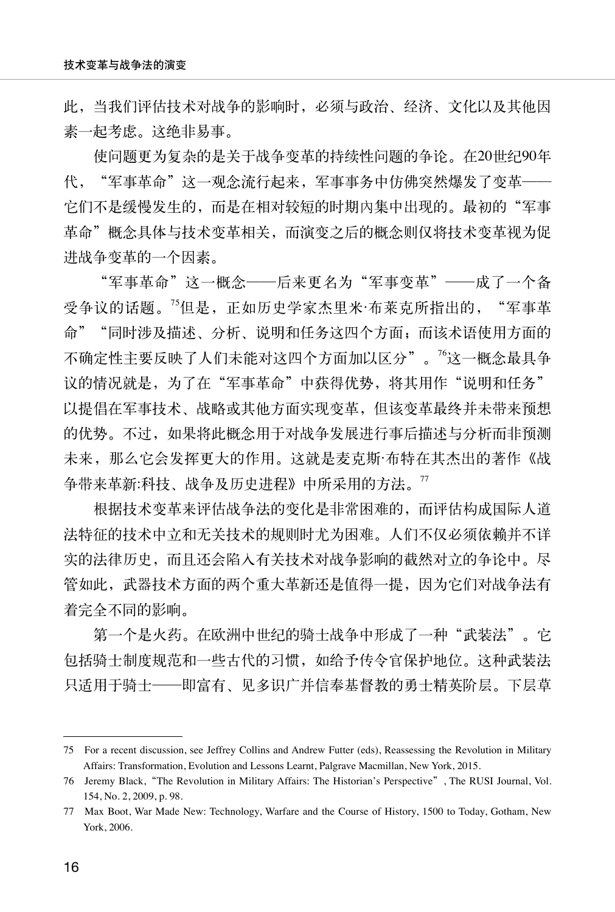此,当我们评估技术对战争的影响时,必须与政治、经济、文化以及其他因 素一起考虑。这绝非易事。

使问题更为复杂的是关于战争变革的持续性问题的争论。在20世纪90年 代,"军事革命"这一观念流行起来,军事事务中仿佛突然爆发了变革—— 它们不是缓慢发生的,而是在相对较短的时期内集中出现的。最初的"军事 革命"概念具体与技术变革相关,而演变之后的概念则仅将技术变革视为促 进战争变革的一个因素。

"军事革命"这一概念——后来更名为"军事变革"——成了一个备 受争议的话题。<sup>75</sup>但是,正如历史学家杰里米·布莱克所指出的, "军事革 命""同时涉及描述、分析、说明和任务这四个方面;而该术语使用方面的 不确定性主要反映了人们未能对这四个方面加以区分"。<sup>76</sup>这一概念最具争 议的情况就是,为了在"军事革命"中获得优势,将其用作"说明和任务" 以提倡在军事技术、战略或其他方面实现变革,但该变革最终并未带来预想 的优势。不过,如果将此概念用于对战争发展进行事后描述与分析而非预测 未来,那么它会发挥更大的作用。这就是麦克斯·布特在其杰出的著作《战 争带来革新:科技、战争及历史进程》中所采用的方法。<sup>77</sup>

根据技术变革来评估战争法的变化是非常困难的,而评估构成国际人道 法特征的技术中立和无关技术的规则时尤为困难。人们不仅必须依赖并不详 实的法律历史,而且还会陷入有关技术对战争影响的截然对立的争论中。尽 管如此,武器技术方面的两个重大革新还是值得一提,因为它们对战争法有 着完全不同的影响。

第一个是火药。在欧洲中世纪的骑士战争中形成了一种"武装法"。它 包括骑士制度规范和一些古代的习惯,如给予传令官保护地位。这种武装法 只适用于骑士——即富有、见多识广并信奉基督教的勇士精英阶层。下层草

<sup>75</sup> For a recent discussion, see Jeffrey Collins and Andrew Futter (eds), Reassessing the Revolution in Military Affairs: Transformation, Evolution and Lessons Learnt, Palgrave Macmillan, New York, 2015.

<sup>76</sup> Jeremy Black,"The Revolution in Military Affairs: The Historian's Perspective", The RUSI Journal, Vol. 154, No. 2, 2009, p. 98.

<sup>77</sup> Max Boot, War Made New: Technology, Warfare and the Course of History, 1500 to Today, Gotham, New York, 2006.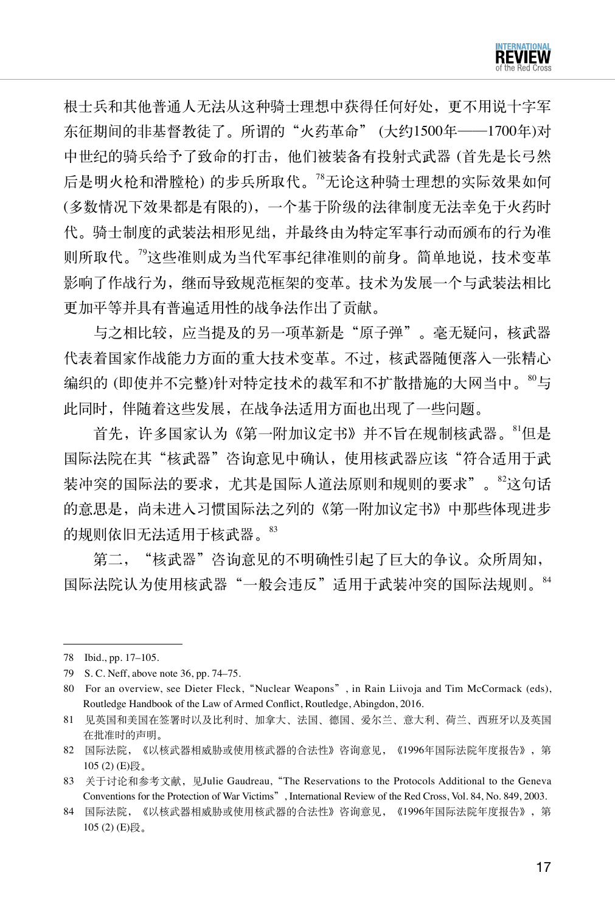

根士兵和其他普通人无法从这种骑士理想中获得任何好处,更不用说十字军 东征期间的非基督教徒了。所谓的"火药革命" (大约1500年——1700年)对 中世纪的骑兵给予了致命的打击,他们被装备有投射式武器 (首先是长弓然 后是明火枪和滑膛枪) 的步兵所取代。<sup>78</sup>无论这种骑士理想的实际效果如何 (多数情况下效果都是有限的),一个基于阶级的法律制度无法幸免于火药时 代。骑士制度的武装法相形见绌,并最终由为特定军事行动而颁布的行为准 则所取代。<sup>79</sup>这些准则成为当代军事纪律准则的前身。简单地说,技术变革 影响了作战行为,继而导致规范框架的变革。技术为发展一个与武装法相比 更加平等并具有普遍适用性的战争法作出了贡献。

与之相比较,应当提及的另一项革新是"原子弹"。毫无疑问,核武器 代表着国家作战能力方面的重大技术变革。不过,核武器随便落入一张精心 编织的 (即使并不完整)针对特定技术的裁军和不扩散措施的大网当中。<sup>80</sup>与 此同时,伴随着这些发展,在战争法适用方面也出现了一些问题。

首先,许多国家认为《第一附加议定书》并不旨在规制核武器。<sup>81</sup>但是 国际法院在其"核武器"咨询意见中确认,使用核武器应该"符合话用干武 装冲突的国际法的要求,尤其是国际人道法原则和规则的要求"。<sup>82</sup>这句话 的意思是,尚未进入习惯国际法之列的《第一附加议定书》中那些体现进步 的规则依旧无法适用干核武器。83

第二, "核武器"咨询意见的不明确性引起了巨大的争议。众所周知, 国际法院认为使用核武器"一般会违反"适用于武装冲突的国际法规则。<sup>84</sup>

<sup>78</sup> Ibid., pp. 17–105.

<sup>79</sup> S. C. Neff, above note 36, pp. 74–75.

<sup>80</sup> For an overview, see Dieter Fleck, "Nuclear Weapons", in Rain Liivoja and Tim McCormack (eds), Routledge Handbook of the Law of Armed Conflict, Routledge, Abingdon, 2016.

<sup>81</sup> 见英国和美国在签署时以及比利时、加拿大、法国、德国、爱尔兰、意大利、荷兰、西班牙以及英国 在批准时的声明。

<sup>82</sup> 国际法院,《以核武器相威胁或使用核武器的合法性》咨询意见,《1996年国际法院年度报告》,第 105 (2) (E)段。

<sup>83</sup> 关于讨论和参考文献, 见Julie Gaudreau, "The Reservations to the Protocols Additional to the Geneva Conventions for the Protection of War Victims", International Review of the Red Cross, Vol. 84, No. 849, 2003.

<sup>84</sup> 国际法院,《以核武器相威胁或使用核武器的合法性》咨询意见,《1996年国际法院年度报告》,第 105 (2) (E)段。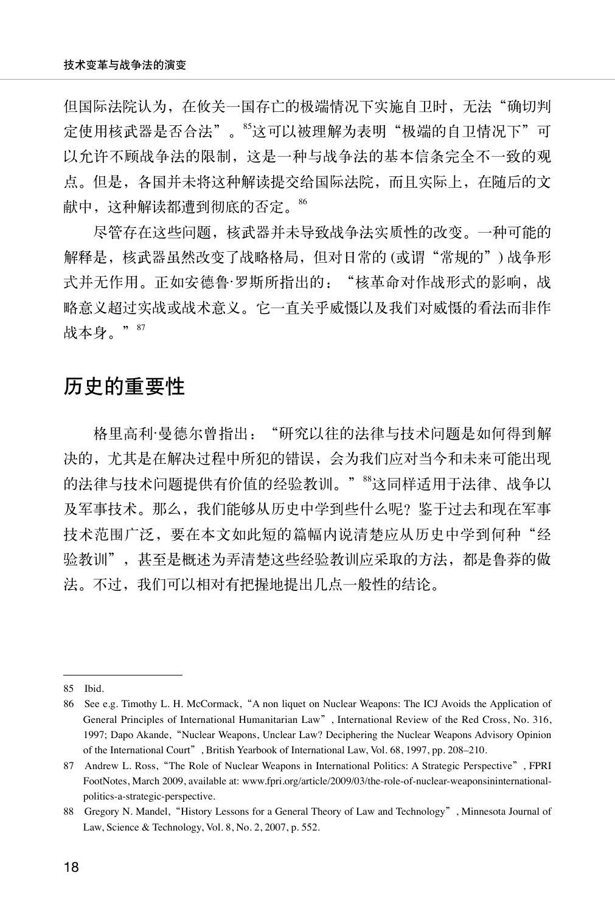但国际法院认为,在攸关一国存亡的极端情况下实施自卫时,无法"确切判 定使用核武器是否合法"。<sup>85</sup>这可以被理解为表明"极端的自卫情况下"可 以允许不顾战争法的限制,这是一种与战争法的基本信条完全不一致的观 点。但是,各国并未将这种解读提交给国际法院,而且实际上,在随后的文 献中,这种解读都遭到彻底的否定。86

尽管存在这些问题,核武器并未导致战争法实质性的改变。一种可能的 解释是,核武器虽然改变了战略格局,但对日常的(或谓"常规的") 战争形 式并无作用。正如安德鲁·罗斯所指出的: "核革命对作战形式的影响, 战 略意义超过实战或战术意义。它一直关乎威慑以及我们对威慑的看法而非作 战本身。"87

## 历史的重要性

格里高利·曼德尔曾指出:"研究以往的法律与技术问题是如何得到解 决的,尤其是在解决过程中所犯的错误,会为我们应对当今和未来可能出现 的法律与技术问题提供有价值的经验教训。"88这同样适用于法律、战争以 及军事技术。那么,我们能够从历史中学到些什么呢? 鉴于过去和现在军事 技术范围广泛,要在本文如此短的篇幅内说清楚应从历史中学到何种"经 验教训",甚至是概述为弄清楚这些经验教训应采取的方法,都是鲁莽的做 法。不过,我们可以相对有把握地提出几点一般性的结论。

<sup>85</sup> Ibid.

<sup>86</sup> See e.g. Timothy L. H. McCormack,"A non liquet on Nuclear Weapons: The ICJ Avoids the Application of General Principles of International Humanitarian Law", International Review of the Red Cross, No. 316, 1997; Dapo Akande, "Nuclear Weapons, Unclear Law? Deciphering the Nuclear Weapons Advisory Opinion of the International Court", British Yearbook of International Law, Vol. 68, 1997, pp. 208–210.

<sup>87</sup> Andrew L. Ross, "The Role of Nuclear Weapons in International Politics: A Strategic Perspective", FPRI FootNotes, March 2009, available at: www.fpri.org/article/2009/03/the-role-of-nuclear-weaponsininternationalpolitics-a-strategic-perspective.

<sup>88</sup> Gregory N. Mandel, "History Lessons for a General Theory of Law and Technology", Minnesota Journal of Law, Science & Technology, Vol. 8, No. 2, 2007, p. 552.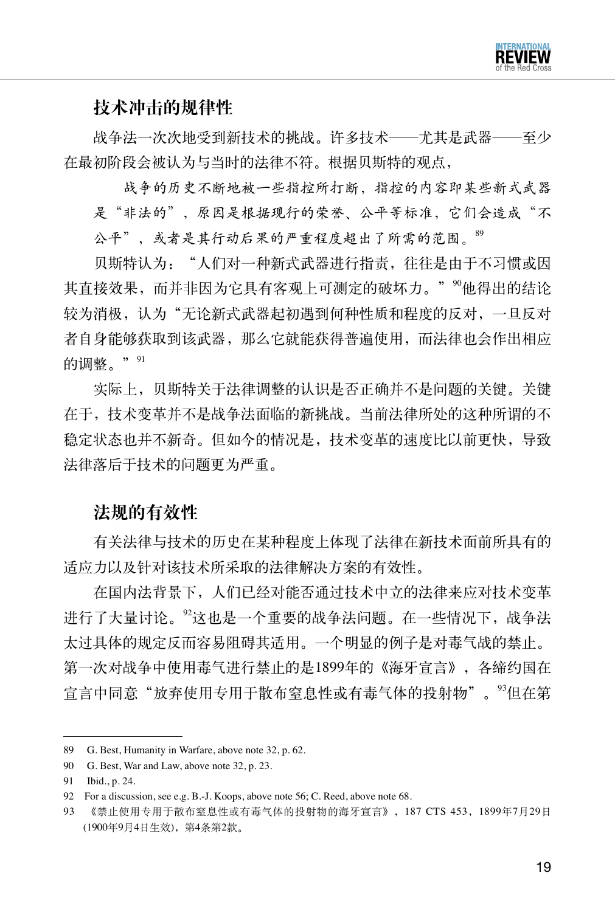

### 技术冲击的规律性

战争法一次次地受到新技术的挑战。许多技术——尤其是武器——至少 在最初阶段会被认为与当时的法律不符。根据贝斯特的观点,

战争的历史不断地被一些指控所打断,指控的内容即某些新式武器 是"非法的",原因是根据现行的荣誉、公平等标准,它们会造成"不 公平",或者是其行动后果的严重程度超出了所需的范围。89

贝斯特认为: "人们对一种新式武器进行指责, 往往是由于不习惯或因 其直接效果,而并非因为它具有客观上可测定的破坏力。"<sup>90</sup>他得出的结论 较为消极,认为"无论新式武器起初遇到何种性质和程度的反对,一旦反对 者自身能够获取到该武器,那么它就能获得普遍使用,而法律也会作出相应 的调整。" 91

实际上,贝斯特关于法律调整的认识是否正确并不是问题的关键。关键 在于,技术变革并不是战争法面临的新挑战。当前法律所处的这种所谓的不 稳定状态也并不新奇。但如今的情况是,技术变革的速度比以前更快,导致 法律落后于技术的问题更为严重。

#### 法规的有效性

有关法律与技术的历史在某种程度上体现了法律在新技术面前所具有的 适应力以及针对该技术所采取的法律解决方案的有效性。

在国内法背景下,人们已经对能否通过技术中立的法律来应对技术变革 进行了大量讨论,<sup>92</sup>这也是一个重要的战争法问题,在一些情况下,战争法 太过具体的规定反而容易阻碍其适用。一个明显的例子是对毒气战的禁止。 第一次对战争中使用毒气进行禁止的是1899年的《海牙宣言》,各缔约国在 官言中同意"放弃使用专用于散布窒息性或有毒气体的投射物"。<sup>93</sup>但在第

<sup>89</sup> G. Best, Humanity in Warfare, above note 32, p. 62.

<sup>90</sup> G. Best, War and Law, above note 32, p. 23.

<sup>91</sup> Ibid., p. 24.

<sup>92</sup> For a discussion, see e.g. B.-J. Koops, above note 56; C. Reed, above note 68.

<sup>93</sup> 《禁止使用专用于散布窒息性或有毒气体的投射物的海牙宣言》,187 CTS 453,1899年7月29日 (1900年9月4日生效),第4条第2款。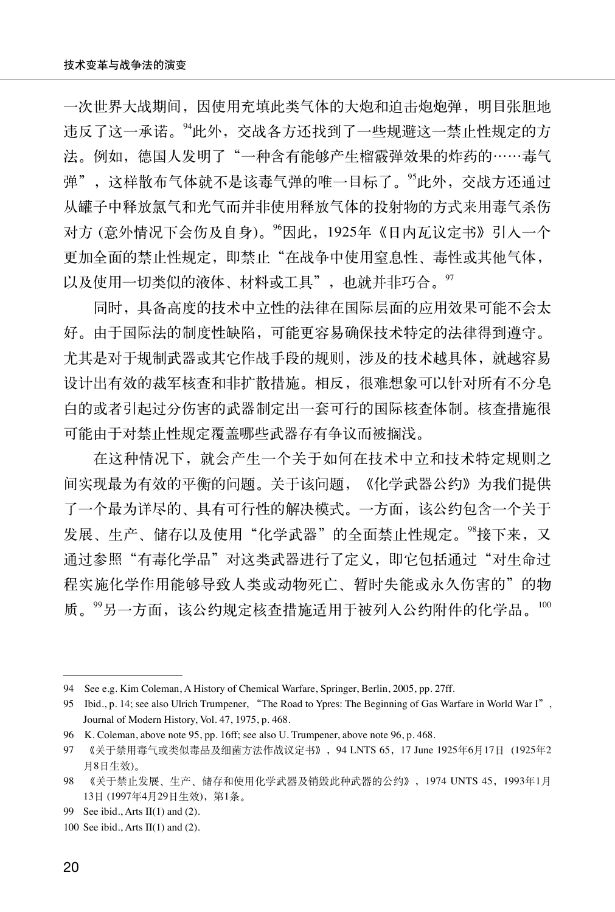一次世界大战期间,因使用充填此类气体的大炮和迫击炮炮弹,明目张胆地 违反了这一承诺。<sup>94</sup>此外,交战各方还找到了一些规避这一禁止性规定的方 法。例如,德国人发明了"一种含有能够产生榴霰弹效果的炸药的……毒气 弹",这样散布气体就不是该毒气弹的唯一目标了。95此外, 交战方还通过 从罐子中释放氯气和光气而并非使用释放气体的投射物的方式来用毒气杀伤 对方 (意外情况下会伤及自身)。<sup>96</sup>因此,1925年《日内瓦议定书》引入一个 更加全面的禁止性规定,即禁止"在战争中使用窒息性、毒性或其他气体, 以及使用一切类似的液体、材料或工具", 也就并非巧合。<sup>97</sup>

同时,具备高度的技术中立性的法律在国际层面的应用效果可能不会太 好。由于国际法的制度性缺陷,可能更容易确保技术特定的法律得到遵守。 尤其是对于规制武器或其它作战手段的规则,涉及的技术越具体,就越容易 设计出有效的裁军核查和非扩散措施。相反,很难想象可以针对所有不分皂 白的或者引起过分伤害的武器制定出一套可行的国际核查体制。核查措施很 可能由于对禁止性规定覆盖哪些武器存有争议而被搁浅。

在这种情况下,就会产生一个关于如何在技术中立和技术特定规则之 间实现最为有效的平衡的问题。关于该问题,《化学武器公约》为我们提供 了一个最为详尽的、具有可行性的解决模式。一方面,该公约包含一个关于 发展、生产、储存以及使用"化学武器"的全面禁止性规定。<sup>98</sup>接下来,又 通过参照"有毒化学品"对这类武器进行了定义, 即它包括通过"对生命过 程实施化学作用能够导致人类或动物死亡、暂时失能或永久伤害的"的物 质。"另一方面,该公约规定核查措施适用于被列入公约附件的化学品。100

<sup>94</sup> See e.g. Kim Coleman, A History of Chemical Warfare, Springer, Berlin, 2005, pp. 27ff.

<sup>95</sup> Ibid., p. 14; see also Ulrich Trumpener, "The Road to Ypres: The Beginning of Gas Warfare in World War I", Journal of Modern History, Vol. 47, 1975, p. 468.

<sup>96</sup> K. Coleman, above note 95, pp. 16ff; see also U. Trumpener, above note 96, p. 468.

<sup>97</sup> 《关于禁用毒气或类似毒品及细菌方法作战议定书》,94 LNTS 65,17 June 1925年6月17日 (1925年2 月8日生效)。

<sup>98</sup> 《关于禁止发展、生产、储存和使用化学武器及销毁此种武器的公约》,1974 UNTS 45,1993年1月 13日 (1997年4月29日生效),第1条。

<sup>99</sup> See ibid., Arts II(1) and (2).

<sup>100</sup> See ibid., Arts II(1) and (2).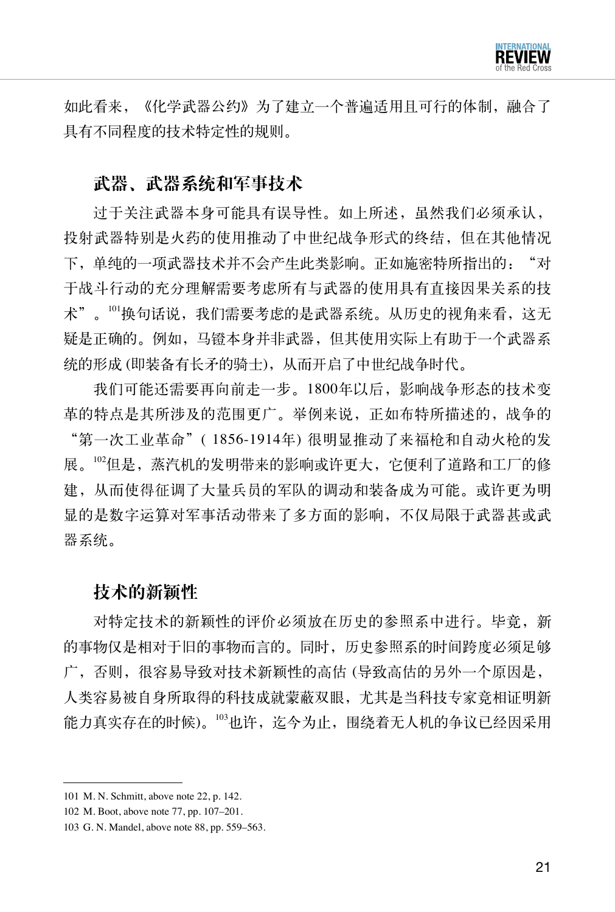

如此看来,《化学武器公约》为了建立一个普遍适用且可行的体制,融合了 具有不同程度的技术特定性的规则。

#### 武器、武器系统和军事技术

过于关注武器本身可能具有误导性。如上所述,虽然我们必须承认, 投射武器特别是火药的使用推动了中世纪战争形式的终结,但在其他情况 下,单纯的一项武器技术并不会产生此类影响。正如施密特所指出的: "对 于战斗行动的充分理解需要考虑所有与武器的使用具有直接因果关系的技 术"。<sup>101</sup>换句话说,我们需要考虑的是武器系统。从历史的视角来看,这无 疑是正确的。例如,马镫本身并非武器,但其使用实际上有助于一个武器系 统的形成 (即装备有长矛的骑士),从而开启了中世纪战争时代。

我们可能还需要再向前走一步。1800年以后,影响战争形态的技术变 革的特点是其所涉及的范围更广。举例来说,正如布特所描述的,战争的 "第一次工业革命"( 1856-1914年) 很明显推动了来福枪和自动火枪的发 展。<sup>102</sup>但是,蒸汽机的发明带来的影响或许更大,它便利了道路和工厂的修 建,从而使得征调了大量兵员的军队的调动和装备成为可能。或许更为明 显的是数字运算对军事活动带来了多方面的影响,不仅局限于武器甚或武 器系统。

#### 技术的新颖性

对特定技术的新颖性的评价必须放在历史的参照系中进行。毕竟,新 的事物仅是相对于旧的事物而言的。同时,历史参照系的时间跨度必须足够 广,否则,很容易导致对技术新颖性的高估 (导致高估的另外一个原因是, 人类容易被自身所取得的科技成就蒙蔽双眼,尤其是当科技专家竞相证明新 能力真实存在的时候)。<sup>103</sup>也许,迄今为止,围绕着无人机的争议已经因采用

<sup>101</sup> M. N. Schmitt, above note 22, p. 142.

<sup>102</sup> M. Boot, above note 77, pp. 107–201.

<sup>103</sup> G. N. Mandel, above note 88, pp. 559–563.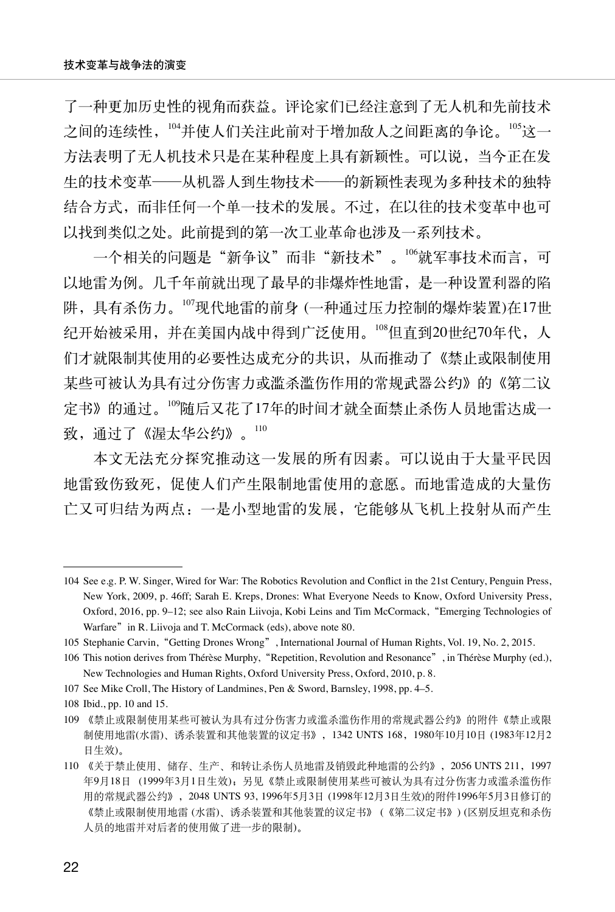了一种更加历史性的视角而获益。评论家们已经注意到了无人机和先前技术 之间的连续性,104并使人们关注此前对于增加敌人之间距离的争论。105这一 方法表明了无人机技术只是在某种程度上具有新颖性。可以说,当今正在发 生的技术变革——从机器人到生物技术——的新颖性表现为多种技术的独特 结合方式,而非任何一个单一技术的发展。不过,在以往的技术变革中也可 以找到类似之处。此前提到的第一次工业革命也涉及一系列技术。

一个相关的问题是"新争议"而非"新技术"。106就军事技术而言,可 以地雷为例。几千年前就出现了最早的非爆炸性地雷,是一种设置利器的陷 阱,具有杀伤力。<sup>107</sup>现代地雷的前身 (一种通过压力控制的爆炸装置)在17世 纪开始被采用,并在美国内战中得到广泛使用。108但直到20世纪70年代,人 们才就限制其使用的必要性达成充分的共识,从而推动了《禁止或限制使用 某些可被认为具有过分伤害力或滥杀滥伤作用的常规武器公约》的《第二议 定书》的通过。<sup>109</sup>随后又花了17年的时间才就全面禁止杀伤人员地雷达成一 致,通过了《渥太华公约》。110

本文无法充分探究推动这一发展的所有因素。可以说由于大量平民因 地雷致伤致死,促使人们产生限制地雷使用的意愿。而地雷造成的大量伤 亡又可归结为两点:一是小型地雷的发展,它能够从飞机上投射从而产生

<sup>104</sup> See e.g. P. W. Singer, Wired for War: The Robotics Revolution and Conflict in the 21st Century, Penguin Press, New York, 2009, p. 46ff; Sarah E. Kreps, Drones: What Everyone Needs to Know, Oxford University Press, Oxford, 2016, pp. 9–12; see also Rain Liivoja, Kobi Leins and Tim McCormack,"Emerging Technologies of Warfare" in R. Liivoja and T. McCormack (eds), above note 80.

<sup>105</sup> Stephanie Carvin,"Getting Drones Wrong", International Journal of Human Rights, Vol. 19, No. 2, 2015.

<sup>106</sup> This notion derives from Thérèse Murphy, "Repetition, Revolution and Resonance", in Thérèse Murphy (ed.), New Technologies and Human Rights, Oxford University Press, Oxford, 2010, p. 8.

<sup>107</sup> See Mike Croll, The History of Landmines, Pen & Sword, Barnsley, 1998, pp. 4–5.

<sup>108</sup> Ibid., pp. 10 and 15.

<sup>109</sup> 《禁止或限制使用某些可被认为具有过分伤害力或滥杀滥伤作用的常规武器公约》的附件《禁止或限 制使用地雷(水雷)、诱杀装置和其他装置的议定书》,1342 UNTS 168,1980年10月10日 (1983年12月2 日生效)。

<sup>110</sup> 《关于禁止使用、储存、生产、和转让杀伤人员地雷及销毁此种地雷的公约》,2056 UNTS 211,1997 年9月18日 (1999年3月1日生效);另见《禁止或限制使用某些可被认为具有过分伤害力或滥杀滥伤作 用的常规武器公约》,2048 UNTS 93, 1996年5月3日 (1998年12月3日生效)的附件1996年5月3日修订的 《禁止或限制使用地雷 (水雷)、诱杀装置和其他装置的议定书》 (《第二议定书》) (区别反坦克和杀伤 人员的地雷并对后者的使用做了进一步的限制)。